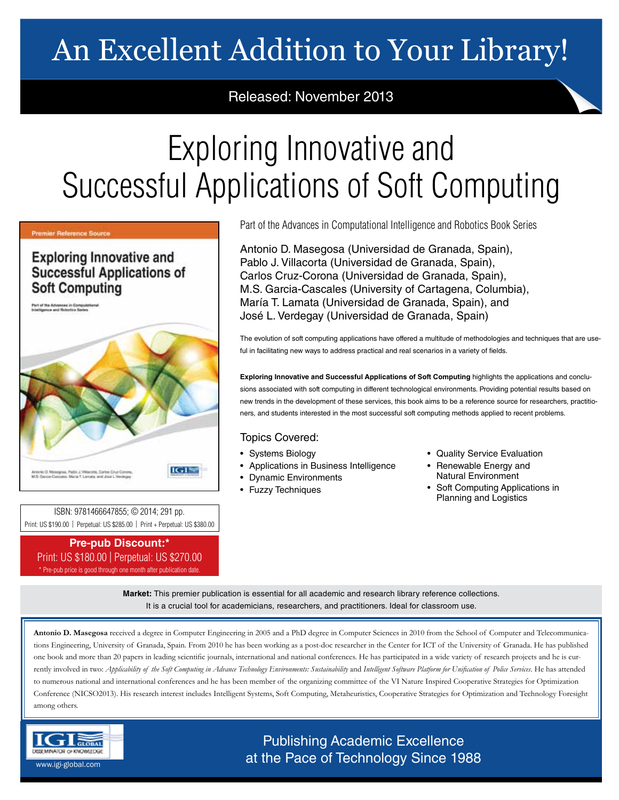# An Excellent Addition to Your Library!

# Released: November 2013

# Exploring Innovative and Successful Applications of Soft Computing

### Premier Reference Source

**Exploring Innovative and Successful Applications of Soft Computing** 

**Part of the Advenues in Compute**<br>Intelligence and Robotics Series



ISBN: 9781466647855; © 2014; 291 pp. Print: US \$190.00 | Perpetual: US \$285.00 | Print + Perpetual: US \$380.00

## **Pre-pub Discount:\*** Print: US \$180.00 | Perpetual: US \$270.00

\* Pre-pub price is good through one month after publication date.

Part of the Advances in Computational Intelligence and Robotics Book Series

Antonio D. Masegosa (Universidad de Granada, Spain), Pablo J. Villacorta (Universidad de Granada, Spain), Carlos Cruz-Corona (Universidad de Granada, Spain), M.S. Garcia-Cascales (University of Cartagena, Columbia), María T. Lamata (Universidad de Granada, Spain), and José L. Verdegay (Universidad de Granada, Spain)

The evolution of soft computing applications have offered a multitude of methodologies and techniques that are useful in facilitating new ways to address practical and real scenarios in a variety of fields.

**Exploring Innovative and Successful Applications of Soft Computing** highlights the applications and conclusions associated with soft computing in different technological environments. Providing potential results based on new trends in the development of these services, this book aims to be a reference source for researchers, practitioners, and students interested in the most successful soft computing methods applied to recent problems.

## Topics Covered:

- Systems Biology
- Applications in Business Intelligence
- Dynamic Environments
- Fuzzy Techniques
- Quality Service Evaluation
- Renewable Energy and Natural Environment
- Soft Computing Applications in Planning and Logistics

**Market:** This premier publication is essential for all academic and research library reference collections. It is a crucial tool for academicians, researchers, and practitioners. Ideal for classroom use.

**Antonio D. Masegosa** received a degree in Computer Engineering in 2005 and a PhD degree in Computer Sciences in 2010 from the School of Computer and Telecommunications Engineering, University of Granada, Spain. From 2010 he has been working as a post-doc researcher in the Center for ICT of the University of Granada. He has published one book and more than 20 papers in leading scientific journals, international and national conferences. He has participated in a wide variety of research projects and he is currently involved in two: *Applicability of the Soft Computing in Advance Technology Environments: Sustainability* and *Intelligent Software Platform for Unification of Police Services*. He has attended to numerous national and international conferences and he has been member of the organizing committee of the VI Nature Inspired Cooperative Strategies for Optimization Conference (NICSO2013). His research interest includes Intelligent Systems, Soft Computing, Metaheuristics, Cooperative Strategies for Optimization and Technology Foresight among others.



Publishing Academic Excellence at the Pace of Technology Since 1988